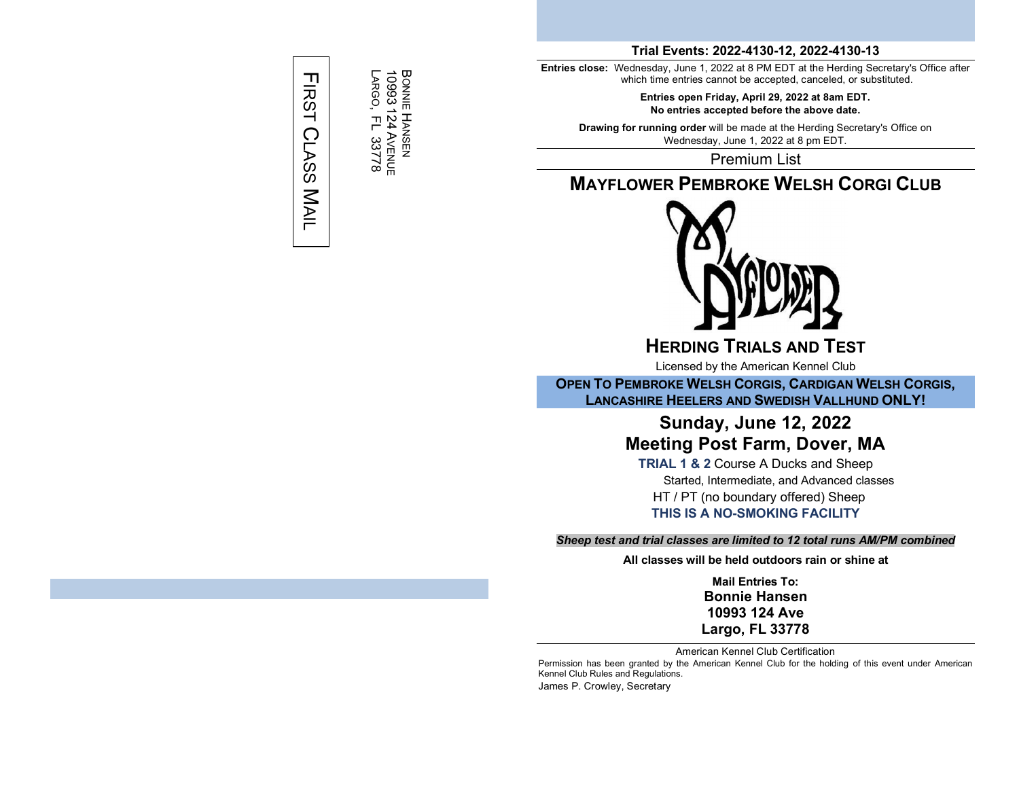# **FIRST** CLASS **MAIL**

BONNIE

10993

LARGO,

곤

33778

124

AVENUE

HANSEN

**Trial Events: 2022-4130-12, 2022-4130-13**

**Entries close:** Wednesday, June 1, 2022 at 8 PM EDT at the Herding Secretary's Office after which time entries cannot be accepted, canceled, or substituted.

> **Entries open Friday, April 29, 2022 at 8am EDT. No entries accepted before the above date.**

**Drawing for running order** will be made at the Herding Secretary's Office on Wednesday, June 1, 2022 at 8 pm EDT.

Premium List

# **MAYFLOWER PEMBROKE WELSH CORGI CLUB**



**HERDING TRIALS AND TEST**

Licensed by the American Kennel Club

**OPEN TO PEMBROKE WELSH CORGIS, CARDIGAN WELSH CORGIS, LANCASHIRE HEELERS AND SWEDISH VALLHUND ONLY!**

# **Sunday, June 12, 2022 Meeting Post Farm, Dover, MA**

**TRIAL 1 & 2** Course A Ducks and Sheep Started, Intermediate, and Advanced classes HT / PT (no boundary offered) Sheep **THIS IS A NO-SMOKING FACILITY**

#### *Sheep test and trial classes are limited to 12 total runs AM/PM combined*

**All classes will be held outdoors rain or shine at**

**Mail Entries To: Bonnie Hansen 10993 124 Ave Largo, FL 33778**

American Kennel Club Certification

Permission has been granted by the American Kennel Club for the holding of this event under American Kennel Club Rules and Regulations. James P. Crowley, Secretary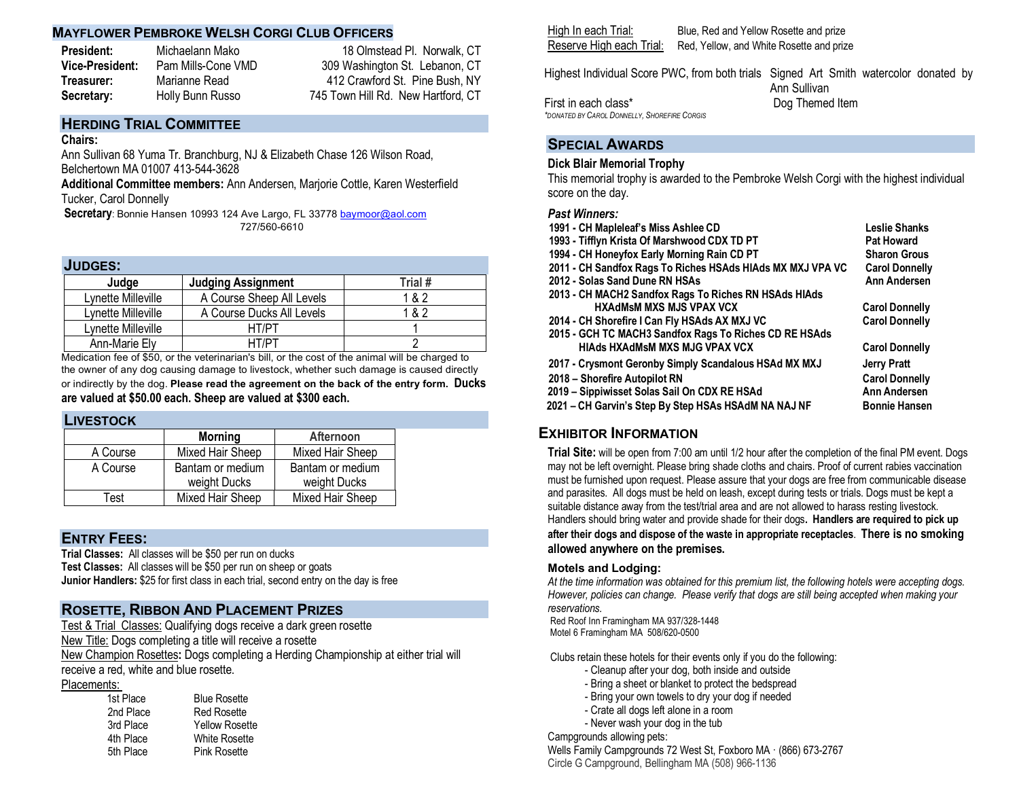#### **MAYFLOWER PEMBROKE WELSH CORGI CLUB OFFICERS**

**President:** Michaelann Mako 18 Olmstead Pl. Norwalk, CT **Vice-President:** Pam Mills-Cone VMD 309 Washington St. Lebanon, CT  **Treasurer:** Marianne Read 412 Crawford St. Pine Bush, NY **Secretary:** Holly Bunn Russo 745 Town Hill Rd. New Hartford, CT

# **HERDING TRIAL COMMITTEE**

#### **Chairs:**

Ann Sullivan 68 Yuma Tr. Branchburg, NJ & Elizabeth Chase 126 Wilson Road, Belchertown MA 01007 413-544-3628

**Additional Committee members:** Ann Andersen, Marjorie Cottle, Karen Westerfield Tucker, Carol Donnelly

Secretary: Bonnie Hansen 10993 124 Ave Largo, FL 33778 baymoor@aol.com 727/560-6610

#### **JUDGES:**

| Judge              | <b>Judging Assignment</b> | Trial # |
|--------------------|---------------------------|---------|
| Lynette Milleville | A Course Sheep All Levels | 1 & 2   |
| Lynette Milleville | A Course Ducks All Levels | 1 & 2   |
| Lynette Milleville | HT/PT                     |         |
| Ann-Marie Ely      | HT/PT                     |         |

Medication fee of \$50, or the veterinarian's bill, or the cost of the animal will be charged to the owner of any dog causing damage to livestock, whether such damage is caused directly

or indirectly by the dog. **Please read the agreement on the back of the entry form. Ducks are valued at \$50.00 each. Sheep are valued at \$300 each.**

#### **LIVESTOCK**

|          | <b>Morning</b>                   | <b>Afternoon</b>                 |
|----------|----------------------------------|----------------------------------|
| A Course | Mixed Hair Sheep                 | Mixed Hair Sheep                 |
| A Course | Bantam or medium<br>weight Ducks | Bantam or medium<br>weight Ducks |
| Test     | Mixed Hair Sheep                 | Mixed Hair Sheep                 |

#### **ENTRY FEES:**

**Trial Classes:** All classes will be \$50 per run on ducks **Test Classes:** All classes will be \$50 per run on sheep or goats **Junior Handlers:** \$25 for first class in each trial, second entry on the day is free

#### **ROSETTE, RIBBON AND PLACEMENT PRIZES**

Test & Trial Classes: Qualifying dogs receive a dark green rosette New Title: Dogs completing a title will receive a rosette New Champion Rosettes**:** Dogs completing a Herding Championship at either trial will receive a red, white and blue rosette.

|  |  |  |  |  |  | Placements: |  |
|--|--|--|--|--|--|-------------|--|
|--|--|--|--|--|--|-------------|--|

| 1st Place | <b>Blue Rosette</b>   |
|-----------|-----------------------|
| 2nd Place | <b>Red Rosette</b>    |
| 3rd Place | <b>Yellow Rosette</b> |
| 4th Place | <b>White Rosette</b>  |
| 5th Place | <b>Pink Rosette</b>   |
|           |                       |

High In each Trial: Blue, Red and Yellow Rosette and prize Reserve High each Trial: Red, Yellow, and White Rosette and prize

Highest Individual Score PWC, from both trials Signed Art Smith watercolor donated by Ann Sullivan

First in each class\* Dog Themed Item *\*DONATED BY CAROL DONNELLY, SHOREFIRE CORGIS* 

## **SPECIAL AWARDS**

#### **Dick Blair Memorial Trophy**

This memorial trophy is awarded to the Pembroke Welsh Corgi with the highest individual score on the day.

#### *Past Winners:*

| 1991 - CH Mapleleaf's Miss Ashlee CD<br>1993 - Tifflyn Krista Of Marshwood CDX TD PT<br>1994 - CH Honeyfox Early Morning Rain CD PT<br>2011 - CH Sandfox Rags To Riches HSAds HIAds MX MXJ VPA VC<br>2012 - Solas Sand Dune RN HSAs<br>2013 - CH MACH2 Sandfox Rags To Riches RN HSAds HIAds | Leslie Shanks<br><b>Pat Howard</b><br><b>Sharon Grous</b><br><b>Carol Donnelly</b><br><b>Ann Andersen</b> |
|----------------------------------------------------------------------------------------------------------------------------------------------------------------------------------------------------------------------------------------------------------------------------------------------|-----------------------------------------------------------------------------------------------------------|
| <b>HXAdMsM MXS MJS VPAX VCX</b>                                                                                                                                                                                                                                                              | <b>Carol Donnelly</b>                                                                                     |
| 2014 - CH Shorefire I Can Fly HSAds AX MXJ VC                                                                                                                                                                                                                                                | <b>Carol Donnelly</b>                                                                                     |
| 2015 - GCH TC MACH3 Sandfox Rags To Riches CD RE HSAds<br><b>HIAds HXAdMsM MXS MJG VPAX VCX</b>                                                                                                                                                                                              | <b>Carol Donnelly</b>                                                                                     |
| 2017 - Crysmont Geronby Simply Scandalous HSAd MX MXJ                                                                                                                                                                                                                                        | <b>Jerry Pratt</b>                                                                                        |
| 2018 - Shorefire Autopilot RN                                                                                                                                                                                                                                                                | <b>Carol Donnelly</b>                                                                                     |
| 2019 - Sippiwisset Solas Sail On CDX RE HSAd                                                                                                                                                                                                                                                 | <b>Ann Andersen</b>                                                                                       |
| 2021 - CH Garvin's Step By Step HSAs HSAdM NA NAJ NF                                                                                                                                                                                                                                         | <b>Bonnie Hansen</b>                                                                                      |

### **EXHIBITOR INFORMATION**

**Trial Site:** will be open from 7:00 am until 1/2 hour after the completion of the final PM event. Dogs may not be left overnight. Please bring shade cloths and chairs. Proof of current rabies vaccination must be furnished upon request. Please assure that your dogs are free from communicable disease and parasites. All dogs must be held on leash, except during tests or trials. Dogs must be kept a suitable distance away from the test/trial area and are not allowed to harass resting livestock. Handlers should bring water and provide shade for their dogs**. Handlers are required to pick up after their dogs and dispose of the waste in appropriate receptacles**. **There is no smoking allowed anywhere on the premises.**

#### **Motels and Lodging:**

*At the time information was obtained for this premium list, the following hotels were accepting dogs. However, policies can change. Please verify that dogs are still being accepted when making your reservations.*

Red Roof Inn Framingham MA 937/328-1448 Motel 6 Framingham MA 508/620-0500

Clubs retain these hotels for their events only if you do the following:

- Cleanup after your dog, both inside and outside
- Bring a sheet or blanket to protect the bedspread
- Bring your own towels to dry your dog if needed
- Crate all dogs left alone in a room

- Never wash your dog in the tub

Campgrounds allowing pets:

Wells Family Campgrounds 72 West St, Foxboro MA · (866) 673-2767 Circle G Campground, Bellingham MA (508) [966-1136](tel:5089661136)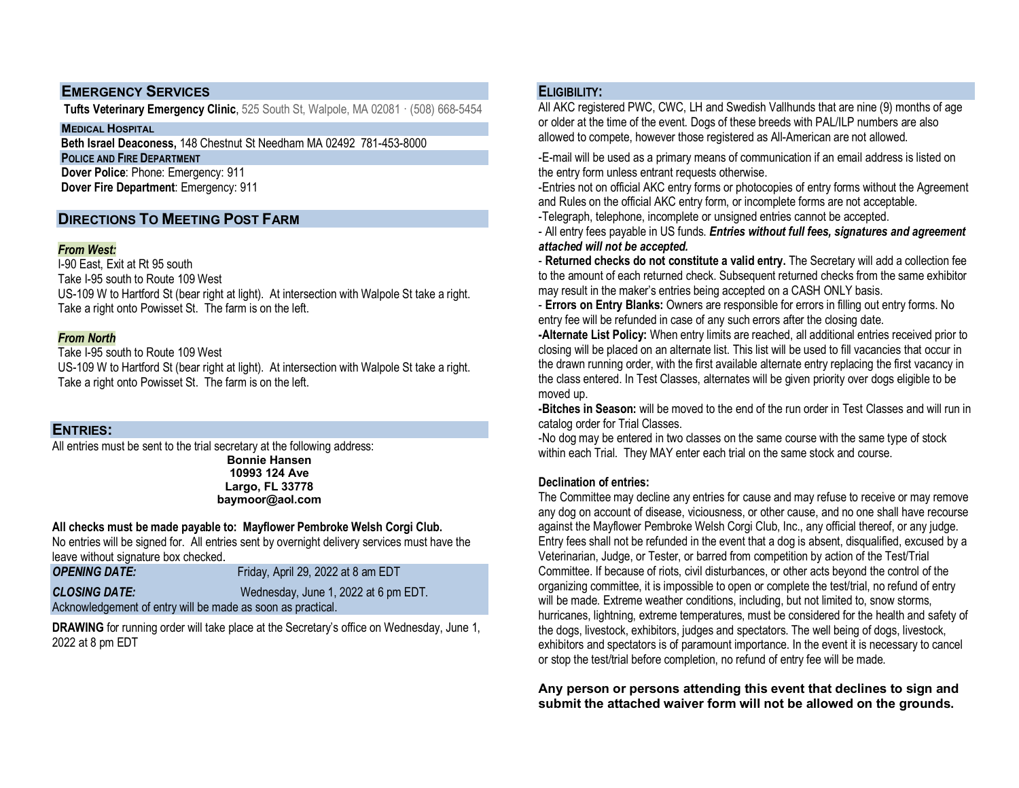# **EMERGENCY SERVICES**

**Tufts Veterinary Emergency Clinic**, 525 South St, Walpole, MA 02081 · (508) 668-5454

**MEDICAL HOSPITAL**

 **Beth Israel Deaconess,** 148 Chestnut St Needham MA 02492 781-453-8000

**POLICE AND FIRE DEPARTMENT Dover Police**: Phone: Emergency: 911

 **Dover Fire Department**: Emergency: 911

# **DIRECTIONS TO MEETING POST FARM**

### *From West:*

I-90 East, Exit at Rt 95 south Take I-95 south to Route 109 West US-109 W to Hartford St (bear right at light). At intersection with Walpole St take a right. Take a right onto Powisset St. The farm is on the left.

### *From North*

Take I-95 south to Route 109 West US-109 W to Hartford St (bear right at light). At intersection with Walpole St take a right. Take a right onto Powisset St. The farm is on the left.

# **ENTRIES:**

All entries must be sent to the trial secretary at the following address: **Bonnie Hansen 10993 124 Ave**

**Largo, FL 33778 baymoor@aol.com**

### **All checks must be made payable to: Mayflower Pembroke Welsh Corgi Club.**

No entries will be signed for. All entries sent by overnight delivery services must have the leave without signature box checked.

| <b>OPENING DATE:</b>                                        | Friday, April 29, 2022 at 8 am EDT   |
|-------------------------------------------------------------|--------------------------------------|
| <b>CLOSING DATE:</b>                                        | Wednesday, June 1, 2022 at 6 pm EDT. |
| Acknowledgement of entry will be made as soon as practical. |                                      |

**DRAWING** for running order will take place at the Secretary's office on Wednesday, June 1, 2022 at 8 pm EDT

# **ELIGIBILITY:**

All AKC registered PWC, CWC, LH and Swedish Vallhunds that are nine (9) months of age or older at the time of the event. Dogs of these breeds with PAL/ILP numbers are also allowed to compete, however those registered as All-American are not allowed.

-E-mail will be used as a primary means of communication if an email address is listed on the entry form unless entrant requests otherwise.

-Entries not on official AKC entry forms or photocopies of entry forms without the Agreement and Rules on the official AKC entry form, or incomplete forms are not acceptable.

-Telegraph, telephone, incomplete or unsigned entries cannot be accepted.

- All entry fees payable in US funds. *Entries without full fees, signatures and agreement attached will not be accepted.*

- **Returned checks do not constitute a valid entry.** The Secretary will add a collection fee to the amount of each returned check. Subsequent returned checks from the same exhibitor may result in the maker's entries being accepted on a CASH ONLY basis.

- **Errors on Entry Blanks:** Owners are responsible for errors in filling out entry forms. No entry fee will be refunded in case of any such errors after the closing date.

**-Alternate List Policy:** When entry limits are reached, all additional entries received prior to closing will be placed on an alternate list. This list will be used to fill vacancies that occur in the drawn running order, with the first available alternate entry replacing the first vacancy in the class entered. In Test Classes, alternates will be given priority over dogs eligible to be moved up.

**-Bitches in Season:** will be moved to the end of the run order in Test Classes and will run in catalog order for Trial Classes.

-No dog may be entered in two classes on the same course with the same type of stock within each Trial. They MAY enter each trial on the same stock and course.

### **Declination of entries:**

The Committee may decline any entries for cause and may refuse to receive or may remove any dog on account of disease, viciousness, or other cause, and no one shall have recourse against the Mayflower Pembroke Welsh Corgi Club, Inc., any official thereof, or any judge. Entry fees shall not be refunded in the event that a dog is absent, disqualified, excused by a Veterinarian, Judge, or Tester, or barred from competition by action of the Test/Trial Committee. If because of riots, civil disturbances, or other acts beyond the control of the organizing committee, it is impossible to open or complete the test/trial, no refund of entry will be made. Extreme weather conditions, including, but not limited to, snow storms, hurricanes, lightning, extreme temperatures, must be considered for the health and safety of the dogs, livestock, exhibitors, judges and spectators. The well being of dogs, livestock, exhibitors and spectators is of paramount importance. In the event it is necessary to cancel or stop the test/trial before completion, no refund of entry fee will be made.

**Any person or persons attending this event that declines to sign and submit the attached waiver form will not be allowed on the grounds.**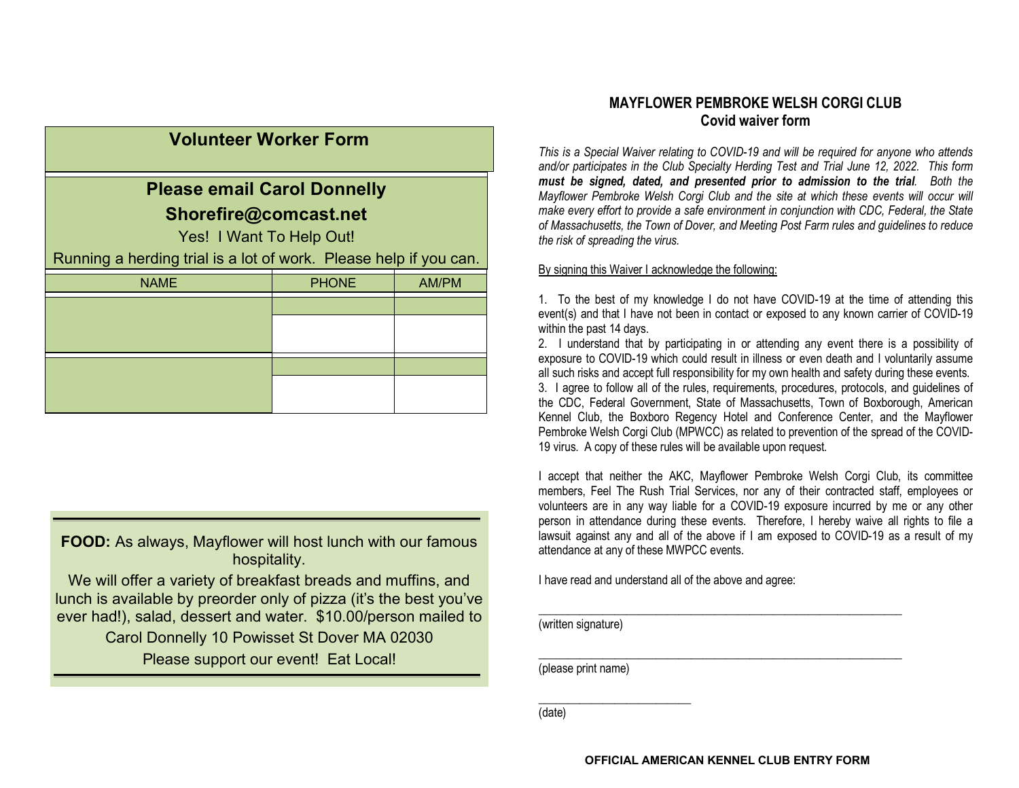| <b>Volunteer Worker Form</b>       |                                                                   |       |  |  |
|------------------------------------|-------------------------------------------------------------------|-------|--|--|
| <b>Please email Carol Donnelly</b> |                                                                   |       |  |  |
| Shorefire@comcast.net              |                                                                   |       |  |  |
|                                    | Yes! I Want To Help Out!                                          |       |  |  |
|                                    | Running a herding trial is a lot of work. Please help if you can. |       |  |  |
| <b>NAME</b>                        | <b>PHONE</b>                                                      | AM/PM |  |  |
|                                    |                                                                   |       |  |  |
|                                    |                                                                   |       |  |  |
|                                    |                                                                   |       |  |  |
|                                    |                                                                   |       |  |  |

**FOOD:** As always, Mayflower will host lunch with our famous hospitality.

We will offer a variety of breakfast breads and muffins, and lunch is available by preorder only of pizza (it's the best you've ever had!), salad, dessert and water. \$10.00/person mailed to

> Carol Donnelly 10 Powisset St Dover MA 02030 Please support our event! Eat Local!

# **MAYFLOWER PEMBROKE WELSH CORGI CLUB Covid waiver form**

*This is a Special Waiver relating to COVID-19 and will be required for anyone who attends and/or participates in the Club Specialty Herding Test and Trial June 12, 2022. This form must be signed, dated, and presented prior to admission to the trial. Both the Mayflower Pembroke Welsh Corgi Club and the site at which these events will occur will make every effort to provide a safe environment in conjunction with CDC, Federal, the State of Massachusetts, the Town of Dover, and Meeting Post Farm rules and guidelines to reduce the risk of spreading the virus.*

#### By signing this Waiver I acknowledge the following:

1. To the best of my knowledge I do not have COVID-19 at the time of attending this event(s) and that I have not been in contact or exposed to any known carrier of COVID-19 within the past 14 days.

2. I understand that by participating in or attending any event there is a possibility of exposure to COVID-19 which could result in illness or even death and I voluntarily assume all such risks and accept full responsibility for my own health and safety during these events. 3. I agree to follow all of the rules, requirements, procedures, protocols, and guidelines of the CDC, Federal Government, State of Massachusetts, Town of Boxborough, American Kennel Club, the Boxboro Regency Hotel and Conference Center, and the Mayflower Pembroke Welsh Corgi Club (MPWCC) as related to prevention of the spread of the COVID-19 virus. A copy of these rules will be available upon request.

I accept that neither the AKC, Mayflower Pembroke Welsh Corgi Club, its committee members, Feel The Rush Trial Services, nor any of their contracted staff, employees or volunteers are in any way liable for a COVID-19 exposure incurred by me or any other person in attendance during these events. Therefore, I hereby waive all rights to file a lawsuit against any and all of the above if I am exposed to COVID-19 as a result of my attendance at any of these MWPCC events.

I have read and understand all of the above and agree:

(written signature)

\_\_\_\_\_\_\_\_\_\_\_\_\_\_\_\_\_\_\_\_\_\_\_\_\_\_\_\_\_\_\_\_\_\_\_\_\_\_\_\_\_\_\_\_\_\_\_\_\_\_\_\_\_\_\_\_\_\_\_\_\_\_ (please print name)

\_\_\_\_\_\_\_\_\_\_\_\_\_\_\_\_\_\_\_\_\_\_\_\_\_\_

(date)

\_\_\_\_\_\_\_\_\_\_\_\_\_\_\_\_\_\_\_\_\_\_\_\_\_\_\_\_\_\_\_\_\_\_\_\_\_\_\_\_\_\_\_\_\_\_\_\_\_\_\_\_\_\_\_\_\_\_\_\_\_\_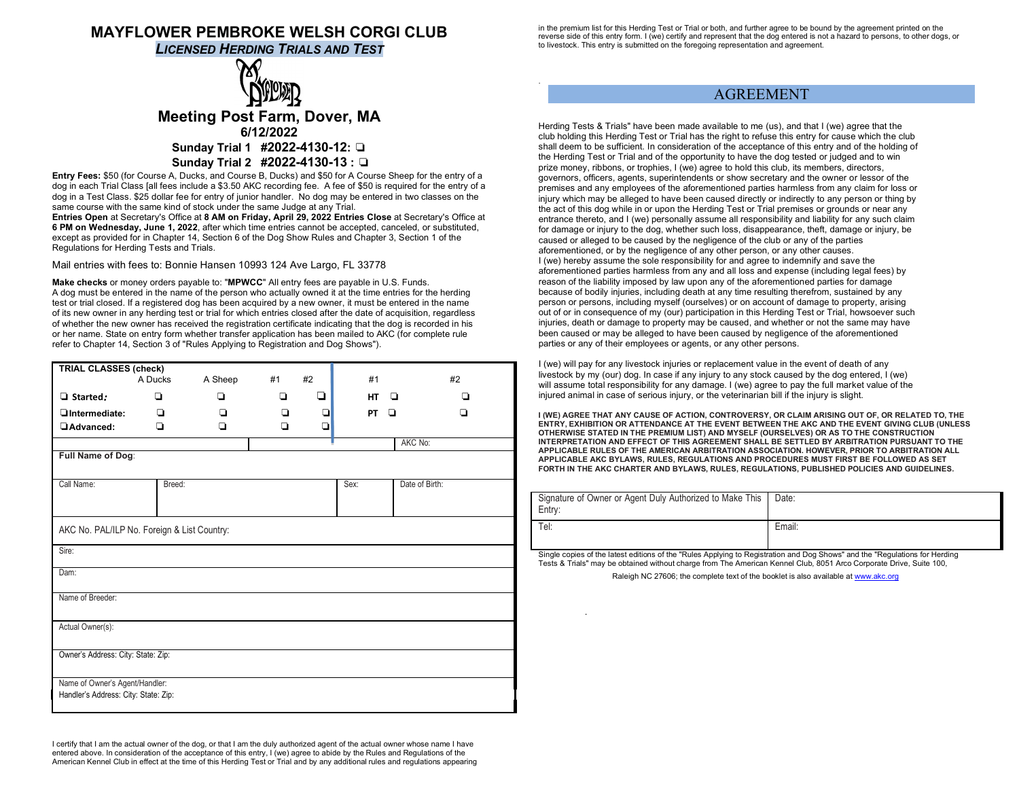# **MAYFLOWER PEMBROKE WELSH CORGI CLUB**

*LICENSED HERDING TRIALS AND TEST*

# **Meeting Post Farm, Dover, MA 6/12/2022 Sunday Trial 1 #2022-4130-12:** ❏ **Sunday Trial 2 #2022-4130-13 :** ❏

**Entry Fees:** \$50 (for Course A, Ducks, and Course B, Ducks) and \$50 for A Course Sheep for the entry of a dog in each Trial Class [all fees include a \$3.50 AKC recording fee. A fee of \$50 is required for the entry of a dog in a Test Class. \$25 dollar fee for entry of junior handler. No dog may be entered in two classes on the same course with the same kind of stock under the same Judge at any Trial.

**Entries Open** at Secretary's Office at **8 AM on Friday, April 29, 2022 Entries Close** at Secretary's Office at **6 PM on Wednesday, June 1, 2022**, after which time entries cannot be accepted, canceled, or substituted, except as provided for in Chapter 14, Section 6 of the Dog Show Rules and Chapter 3, Section 1 of the Regulations for Herding Tests and Trials.

Mail entries with fees to: Bonnie Hansen 10993 124 Ave Largo, FL 33778

**Make checks** or money orders payable to: "**MPWCC**" All entry fees are payable in U.S. Funds. A dog must be entered in the name of the person who actually owned it at the time entries for the herding test or trial closed. If a registered dog has been acquired by a new owner, it must be entered in the name of its new owner in any herding test or trial for which entries closed after the date of acquisition, regardless of whether the new owner has received the registration certificate indicating that the dog is recorded in his or her name. State on entry form whether transfer application has been mailed to AKC (for complete rule refer to Chapter 14, Section 3 of "Rules Applying to Registration and Dog Shows").

| <b>TRIAL CLASSES (check)</b>                                           | A Ducks | A Sheep | #1 | #2 | #1        | #2             |
|------------------------------------------------------------------------|---------|---------|----|----|-----------|----------------|
| $\Box$ Started:                                                        | o       | ▫       | ▫  | ◘  | <b>HT</b> | ◘<br>▫         |
| OIntermediate:                                                         | ◘       | ▫       | ▫  | ❏  | PT        | ▫<br>n         |
| Advanced:                                                              | ▫       | ◘       | ◘  | Q  |           |                |
|                                                                        |         |         |    |    |           | AKC No:        |
| Full Name of Dog:                                                      |         |         |    |    |           |                |
| Call Name:                                                             | Breed:  |         |    |    | Sex:      | Date of Birth: |
| AKC No. PAL/ILP No. Foreign & List Country:<br>Sire:                   |         |         |    |    |           |                |
| Dam:                                                                   |         |         |    |    |           |                |
| Name of Breeder:                                                       |         |         |    |    |           |                |
| Actual Owner(s):                                                       |         |         |    |    |           |                |
| Owner's Address: City: State: Zip:                                     |         |         |    |    |           |                |
| Name of Owner's Agent/Handler:<br>Handler's Address: City: State: Zip: |         |         |    |    |           |                |

I certify that I am the actual owner of the dog, or that I am the duly authorized agent of the actual owner whose name I have entered above. In consideration of the acceptance of this entry, I (we) agree to abide by the Rules and Regulations of the American Kennel Club in effect at the time of this Herding Test or Trial and by any additional rules and regulations appearing in the premium list for this Herding Test or Trial or both, and further agree to be bound by the agreement printed on the reverse side of this entry form. I (we) certify and represent that the dog entered is not a hazard to persons, to other dogs, or to livestock. This entry is submitted on the foregoing representation and agreement.

.

.

### AGREEMENT

Herding Tests & Trials" have been made available to me (us), and that I (we) agree that the club holding this Herding Test or Trial has the right to refuse this entry for cause which the club shall deem to be sufficient. In consideration of the acceptance of this entry and of the holding of the Herding Test or Trial and of the opportunity to have the dog tested or judged and to win prize money, ribbons, or trophies, I (we) agree to hold this club, its members, directors, governors, officers, agents, superintendents or show secretary and the owner or lessor of the premises and any employees of the aforementioned parties harmless from any claim for loss or injury which may be alleged to have been caused directly or indirectly to any person or thing by the act of this dog while in or upon the Herding Test or Trial premises or grounds or near any entrance thereto, and I (we) personally assume all responsibility and liability for any such claim for damage or injury to the dog, whether such loss, disappearance, theft, damage or injury, be caused or alleged to be caused by the negligence of the club or any of the parties aforementioned, or by the negligence of any other person, or any other causes. I (we) hereby assume the sole responsibility for and agree to indemnify and save the aforementioned parties harmless from any and all loss and expense (including legal fees) by reason of the liability imposed by law upon any of the aforementioned parties for damage because of bodily injuries, including death at any time resulting therefrom, sustained by any person or persons, including myself (ourselves) or on account of damage to property, arising out of or in consequence of my (our) participation in this Herding Test or Trial, howsoever such injuries, death or damage to property may be caused, and whether or not the same may have been caused or may be alleged to have been caused by negligence of the aforementioned parties or any of their employees or agents, or any other persons.

I (we) will pay for any livestock injuries or replacement value in the event of death of any livestock by my (our) dog. In case if any injury to any stock caused by the dog entered, I (we) will assume total responsibility for any damage. I (we) agree to pay the full market value of the injured animal in case of serious injury, or the veterinarian bill if the injury is slight.

**I (WE) AGREE THAT ANY CAUSE OF ACTION, CONTROVERSY, OR CLAIM ARISING OUT OF, OR RELATED TO, THE ENTRY, EXHIBITION OR ATTENDANCE AT THE EVENT BETWEEN THE AKC AND THE EVENT GIVING CLUB (UNLESS OTHERWISE STATED IN THE PREMIUM LIST) AND MYSELF (OURSELVES) OR AS TO THE CONSTRUCTION INTERPRETATION AND EFFECT OF THIS AGREEMENT SHALL BE SETTLED BY ARBITRATION PURSUANT TO THE APPLICABLE RULES OF THE AMERICAN ARBITRATION ASSOCIATION. HOWEVER, PRIOR TO ARBITRATION ALL APPLICABLE AKC BYLAWS, RULES, REGULATIONS AND PROCEDURES MUST FIRST BE FOLLOWED AS SET FORTH IN THE AKC CHARTER AND BYLAWS, RULES, REGULATIONS, PUBLISHED POLICIES AND GUIDELINES.** 

| Signature of Owner or Agent Duly Authorized to Make This<br>Entry: | Date:  |
|--------------------------------------------------------------------|--------|
| Tel:                                                               | Email: |

Single copies of the latest editions of the "Rules Applying to Registration and Dog Shows" and the "Regulations for Herding Tests & Trials" may be obtained without charge from The American Kennel Club, 8051 Arco Corporate Drive, Suite 100,

Raleigh NC 27606; the complete text of the booklet is also available a[t www.akc.org](http://www.akc.org/)